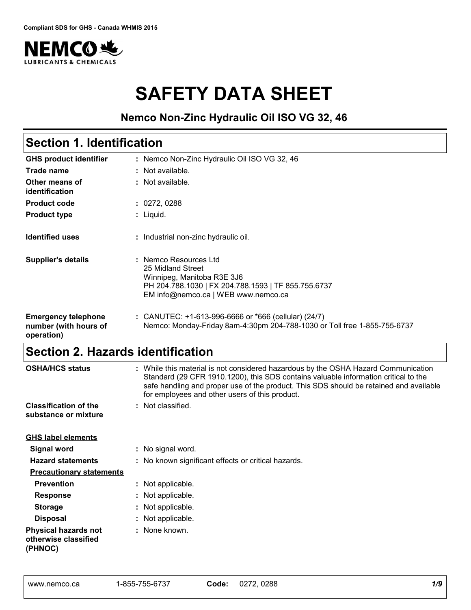

# **SAFETY DATA SHEET**

### **Nemco Non-Zinc Hydraulic Oil ISO VG 32, 46**

#### Nemco Non-Zinc Hydraulic Oil ISO VG 32, 46 **:** Not available. **:** Liquid. **: GHS product identifier Other means of identification Product type Section 1. Identification Trade name :** Not available. **Product code :** 0272, 0288 **Identified uses Emergency telephone number (with hours of operation) :** CANUTEC: +1-613-996-6666 or \*666 (cellular) (24/7) : Industrial non-zinc hydraulic oil. Nemco: Monday-Friday 8am-4:30pm 204-788-1030 or Toll free 1-855-755-6737 **Supplier's details :** Nemco Resources Ltd 25 Midland Street Winnipeg, Manitoba R3E 3J6 PH 204.788.1030 | FX 204.788.1593 | TF 855.755.6737 EM info@nemco.ca | WEB www.nemco.ca

## **Section 2. Hazards identification**

| <b>OSHA/HCS status</b><br>: While this material is not considered hazardous by the OSHA Hazard Communication<br>Standard (29 CFR 1910.1200), this SDS contains valuable information critical to the<br>safe handling and proper use of the product. This SDS should be retained and available<br>for employees and other users of this product. |  |                                                     |  |  |  |
|-------------------------------------------------------------------------------------------------------------------------------------------------------------------------------------------------------------------------------------------------------------------------------------------------------------------------------------------------|--|-----------------------------------------------------|--|--|--|
| <b>Classification of the</b>                                                                                                                                                                                                                                                                                                                    |  | : Not classified.                                   |  |  |  |
| substance or mixture                                                                                                                                                                                                                                                                                                                            |  |                                                     |  |  |  |
| <b>GHS label elements</b>                                                                                                                                                                                                                                                                                                                       |  |                                                     |  |  |  |
| Signal word                                                                                                                                                                                                                                                                                                                                     |  | : No signal word.                                   |  |  |  |
| <b>Hazard statements</b>                                                                                                                                                                                                                                                                                                                        |  | : No known significant effects or critical hazards. |  |  |  |
| <b>Precautionary statements</b>                                                                                                                                                                                                                                                                                                                 |  |                                                     |  |  |  |
| <b>Prevention</b>                                                                                                                                                                                                                                                                                                                               |  | : Not applicable.                                   |  |  |  |
| <b>Response</b>                                                                                                                                                                                                                                                                                                                                 |  | : Not applicable.                                   |  |  |  |
| <b>Storage</b>                                                                                                                                                                                                                                                                                                                                  |  | : Not applicable.                                   |  |  |  |
| <b>Disposal</b>                                                                                                                                                                                                                                                                                                                                 |  | : Not applicable.                                   |  |  |  |
| <b>Physical hazards not</b><br>otherwise classified<br>(PHNOC)                                                                                                                                                                                                                                                                                  |  | : None known.                                       |  |  |  |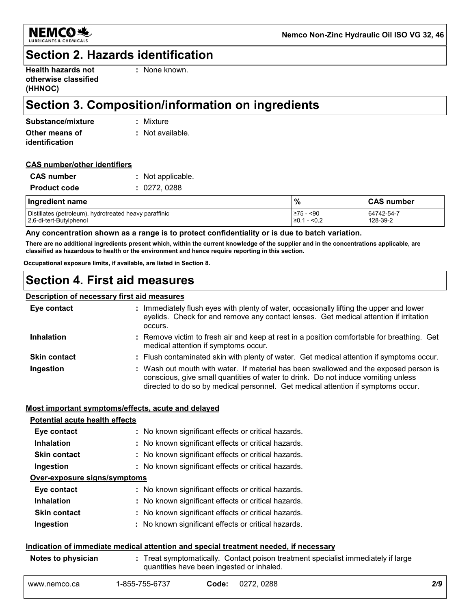

## **Section 2. Hazards identification**

| <b>Health hazards not</b> |  |
|---------------------------|--|
| otherwise classified      |  |
| (HHNOC)                   |  |

**:** None known.

## **Section 3. Composition/information on ingredients**

| Substance/mixture | : Mixture        |
|-------------------|------------------|
| Other means of    | : Not available. |
| identification    |                  |

#### **CAS number/other identifiers**

| <b>CAS</b> number   | : Not applicable. |
|---------------------|-------------------|
| <b>Product code</b> | : 0272,0288       |

| Ingredient name                                        | $\frac{9}{6}$    | <b>CAS number</b> |
|--------------------------------------------------------|------------------|-------------------|
| Distillates (petroleum), hydrotreated heavy paraffinic | I≥75 - <90       | 64742-54-7        |
| 2,6-di-tert-Butylphenol                                | ≥0.1<br>' - <0.2 | 128-39-2          |

#### **Any concentration shown as a range is to protect confidentiality or is due to batch variation.**

**There are no additional ingredients present which, within the current knowledge of the supplier and in the concentrations applicable, are classified as hazardous to health or the environment and hence require reporting in this section.**

**Occupational exposure limits, if available, are listed in Section 8.**

## **Section 4. First aid measures**

#### **Description of necessary first aid measures**

| Eye contact         | : Immediately flush eyes with plenty of water, occasionally lifting the upper and lower<br>eyelids. Check for and remove any contact lenses. Get medical attention if irritation<br>occurs.                                                                    |
|---------------------|----------------------------------------------------------------------------------------------------------------------------------------------------------------------------------------------------------------------------------------------------------------|
| <b>Inhalation</b>   | : Remove victim to fresh air and keep at rest in a position comfortable for breathing. Get<br>medical attention if symptoms occur.                                                                                                                             |
| <b>Skin contact</b> | : Flush contaminated skin with plenty of water. Get medical attention if symptoms occur.                                                                                                                                                                       |
| Ingestion           | : Wash out mouth with water. If material has been swallowed and the exposed person is<br>conscious, give small quantities of water to drink. Do not induce vomiting unless<br>directed to do so by medical personnel. Get medical attention if symptoms occur. |

#### **Most important symptoms/effects, acute and delayed**

| <b>Potential acute health effects</b> |                                                     |
|---------------------------------------|-----------------------------------------------------|
| Eye contact                           | : No known significant effects or critical hazards. |
| <b>Inhalation</b>                     | : No known significant effects or critical hazards. |
| <b>Skin contact</b>                   | : No known significant effects or critical hazards. |
| Ingestion                             | : No known significant effects or critical hazards. |
| Over-exposure signs/symptoms          |                                                     |
| Eye contact                           | : No known significant effects or critical hazards. |
| <b>Inhalation</b>                     | : No known significant effects or critical hazards. |
| <b>Skin contact</b>                   | : No known significant effects or critical hazards. |
| Ingestion                             | : No known significant effects or critical hazards. |
|                                       |                                                     |

#### **Indication of immediate medical attention and special treatment needed, if necessary**

| Notes to physician | : Treat symptomatically. Contact poison treatment specialist immediately if large<br>quantities have been ingested or inhaled. |
|--------------------|--------------------------------------------------------------------------------------------------------------------------------|
|                    |                                                                                                                                |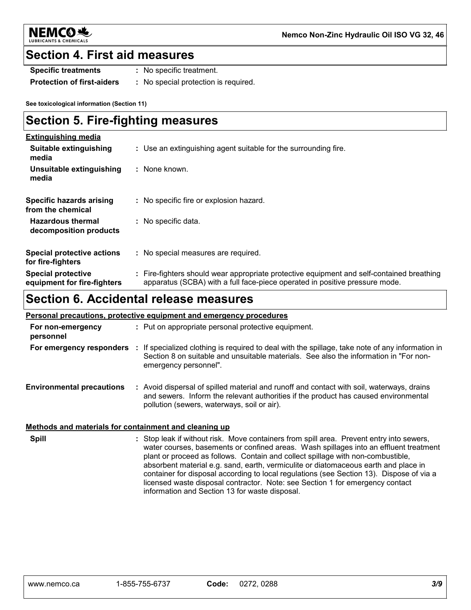

**Nemco Non-Zinc Hydraulic Oil ISO VG 32, 46**

### **Section 4. First aid measures**

- **Specific treatments :** No specific treatment.
- **Protection of first-aiders :** No special protection is required.

**See toxicological information (Section 11)**

## **Section 5. Fire-fighting measures**

| <b>Extinguishing media</b>                               |                                                                                                                                                                          |
|----------------------------------------------------------|--------------------------------------------------------------------------------------------------------------------------------------------------------------------------|
| Suitable extinguishing<br>media                          | : Use an extinguishing agent suitable for the surrounding fire.                                                                                                          |
| Unsuitable extinguishing<br>media                        | : None known.                                                                                                                                                            |
| Specific hazards arising<br>from the chemical            | : No specific fire or explosion hazard.                                                                                                                                  |
| <b>Hazardous thermal</b><br>decomposition products       | : No specific data.                                                                                                                                                      |
| <b>Special protective actions</b><br>for fire-fighters   | : No special measures are required.                                                                                                                                      |
| <b>Special protective</b><br>equipment for fire-fighters | : Fire-fighters should wear appropriate protective equipment and self-contained breathing<br>apparatus (SCBA) with a full face-piece operated in positive pressure mode. |

## **Section 6. Accidental release measures**

| <b>Personal precautions, protective equipment and emergency procedures</b> |  |                                                                                                                                                                                                                                 |  |  |  |  |  |
|----------------------------------------------------------------------------|--|---------------------------------------------------------------------------------------------------------------------------------------------------------------------------------------------------------------------------------|--|--|--|--|--|
| For non-emergency<br>personnel                                             |  | : Put on appropriate personal protective equipment.                                                                                                                                                                             |  |  |  |  |  |
| For emergency responders                                                   |  | : If specialized clothing is required to deal with the spillage, take note of any information in<br>Section 8 on suitable and unsuitable materials. See also the information in "For non-<br>emergency personnel".              |  |  |  |  |  |
| <b>Environmental precautions</b>                                           |  | : Avoid dispersal of spilled material and runoff and contact with soil, waterways, drains<br>and sewers. Inform the relevant authorities if the product has caused environmental<br>pollution (sewers, waterways, soil or air). |  |  |  |  |  |

#### **Methods and materials for containment and cleaning up**

**Spill** Stop leak if without risk. Move containers from spill area. Prevent entry into sewers, **:** water courses, basements or confined areas. Wash spillages into an effluent treatment plant or proceed as follows. Contain and collect spillage with non-combustible, absorbent material e.g. sand, earth, vermiculite or diatomaceous earth and place in container for disposal according to local regulations (see Section 13). Dispose of via a licensed waste disposal contractor. Note: see Section 1 for emergency contact information and Section 13 for waste disposal.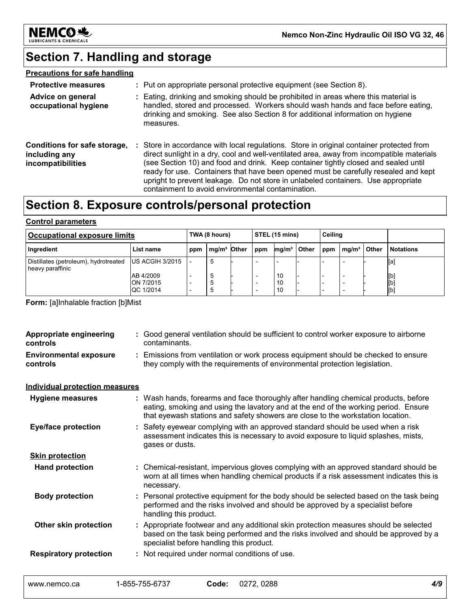

## **Section 7. Handling and storage**

### **Precautions for safe handling**

| <b>Protective measures</b>                                                |    | : Put on appropriate personal protective equipment (see Section 8).                                                                                                                                                                                                                                                                                                                                                                                                                                         |
|---------------------------------------------------------------------------|----|-------------------------------------------------------------------------------------------------------------------------------------------------------------------------------------------------------------------------------------------------------------------------------------------------------------------------------------------------------------------------------------------------------------------------------------------------------------------------------------------------------------|
| Advice on general<br>occupational hygiene                                 |    | Eating, drinking and smoking should be prohibited in areas where this material is<br>handled, stored and processed. Workers should wash hands and face before eating,<br>drinking and smoking. See also Section 8 for additional information on hygiene<br>measures.                                                                                                                                                                                                                                        |
| Conditions for safe storage,<br>including any<br><i>incompatibilities</i> | ÷. | Store in accordance with local regulations. Store in original container protected from<br>direct sunlight in a dry, cool and well-ventilated area, away from incompatible materials<br>(see Section 10) and food and drink. Keep container tightly closed and sealed until<br>ready for use. Containers that have been opened must be carefully resealed and kept<br>upright to prevent leakage. Do not store in unlabeled containers. Use appropriate<br>containment to avoid environmental contamination. |

## **Section 8. Exposure controls/personal protection**

#### **Control parameters**

| Occupational exposure limits                              |                                     |     | TWA (8 hours)           |  |     | STEL (15 mins)    |       |     | Ceiling           |       |                   |
|-----------------------------------------------------------|-------------------------------------|-----|-------------------------|--|-----|-------------------|-------|-----|-------------------|-------|-------------------|
| Ingredient                                                | List name                           | ppm | mg/m <sup>3</sup> Other |  | ppm | mq/m <sup>3</sup> | Other | ppm | mq/m <sup>3</sup> | Other | <b>Notations</b>  |
| Distillates (petroleum), hydrotreated<br>heavy paraffinic | US ACGIH 3/2015                     |     | 5                       |  |     |                   |       |     |                   |       | [a]               |
|                                                           | AB 4/2009<br>ON 7/2015<br>QC 1/2014 |     | 5<br>đ<br>.៦            |  |     | -10<br>10<br>10   |       |     |                   |       | [b]<br>[b]<br>[b] |

**Form:** [a]Inhalable fraction [b]Mist

| Appropriate engineering<br>controls       | : Good general ventilation should be sufficient to control worker exposure to airborne<br>contaminants.                                                                                                                                                       |
|-------------------------------------------|---------------------------------------------------------------------------------------------------------------------------------------------------------------------------------------------------------------------------------------------------------------|
| <b>Environmental exposure</b><br>controls | : Emissions from ventilation or work process equipment should be checked to ensure<br>they comply with the requirements of environmental protection legislation.                                                                                              |
| <b>Individual protection measures</b>     |                                                                                                                                                                                                                                                               |
| <b>Hygiene measures</b>                   | : Wash hands, forearms and face thoroughly after handling chemical products, before<br>eating, smoking and using the lavatory and at the end of the working period. Ensure<br>that eyewash stations and safety showers are close to the workstation location. |
| <b>Eye/face protection</b>                | : Safety eyewear complying with an approved standard should be used when a risk<br>assessment indicates this is necessary to avoid exposure to liquid splashes, mists,<br>gases or dusts.                                                                     |
| <b>Skin protection</b>                    |                                                                                                                                                                                                                                                               |
| <b>Hand protection</b>                    | : Chemical-resistant, impervious gloves complying with an approved standard should be<br>worn at all times when handling chemical products if a risk assessment indicates this is<br>necessary.                                                               |
| <b>Body protection</b>                    | : Personal protective equipment for the body should be selected based on the task being<br>performed and the risks involved and should be approved by a specialist before<br>handling this product.                                                           |
| Other skin protection                     | : Appropriate footwear and any additional skin protection measures should be selected<br>based on the task being performed and the risks involved and should be approved by a<br>specialist before handling this product.                                     |
| <b>Respiratory protection</b>             | : Not required under normal conditions of use.                                                                                                                                                                                                                |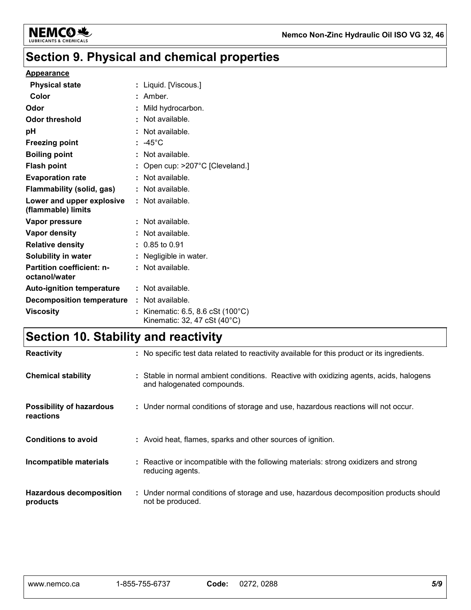

## **Section 9. Physical and chemical properties**

#### **Appearance**

| <b>Physical state</b>                             | : Liquid. [Viscous.]                                                       |
|---------------------------------------------------|----------------------------------------------------------------------------|
| Color                                             | : Amber.                                                                   |
| Odor                                              | : Mild hydrocarbon.                                                        |
| Odor threshold                                    | : Not available.                                                           |
| рH                                                | : Not available.                                                           |
| <b>Freezing point</b>                             | $: -45^{\circ}$ C                                                          |
| <b>Boiling point</b>                              | $:$ Not available.                                                         |
| <b>Flash point</b>                                | : Open cup: $>207^{\circ}$ C [Cleveland.]                                  |
| <b>Evaporation rate</b>                           | : Not available.                                                           |
| Flammability (solid, gas)                         | : Not available.                                                           |
| Lower and upper explosive<br>(flammable) limits   | $:$ Not available.                                                         |
| Vapor pressure                                    | : Not available.                                                           |
| Vapor density                                     | : Not available.                                                           |
| <b>Relative density</b>                           | $: 0.85$ to 0.91                                                           |
| Solubility in water                               | : Negligible in water.                                                     |
| <b>Partition coefficient: n-</b><br>octanol/water | $:$ Not available.                                                         |
| <b>Auto-ignition temperature</b>                  | : Not available.                                                           |
| <b>Decomposition temperature : Not available.</b> |                                                                            |
| <b>Viscosity</b>                                  | : Kinematic: 6.5, 8.6 cSt $(100^{\circ}C)$<br>Kinematic: 32, 47 cSt (40°C) |

## **Section 10. Stability and reactivity**

| <b>Reactivity</b>                            | : No specific test data related to reactivity available for this product or its ingredients.                         |
|----------------------------------------------|----------------------------------------------------------------------------------------------------------------------|
| <b>Chemical stability</b>                    | : Stable in normal ambient conditions. Reactive with oxidizing agents, acids, halogens<br>and halogenated compounds. |
| <b>Possibility of hazardous</b><br>reactions | : Under normal conditions of storage and use, hazardous reactions will not occur.                                    |
| <b>Conditions to avoid</b>                   | : Avoid heat, flames, sparks and other sources of ignition.                                                          |
| Incompatible materials                       | : Reactive or incompatible with the following materials: strong oxidizers and strong<br>reducing agents.             |
| <b>Hazardous decomposition</b><br>products   | : Under normal conditions of storage and use, hazardous decomposition products should<br>not be produced.            |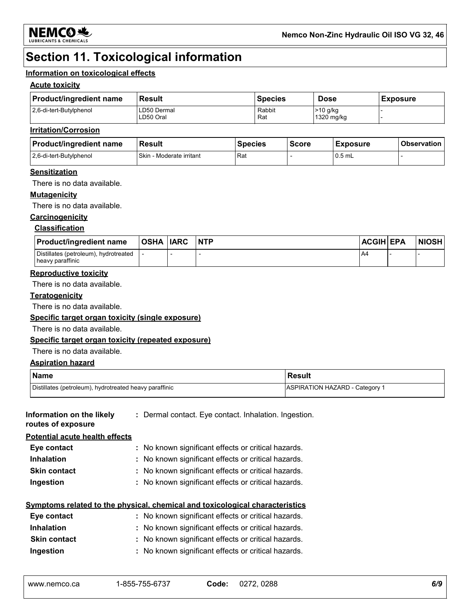

## **Section 11. Toxicological information**

#### **Information on toxicological effects**

#### **Acute toxicity**

| <b>Product/ingredient name</b> | Result                   | <b>Species</b> | <b>Dose</b>              | <b>Exposure</b> |
|--------------------------------|--------------------------|----------------|--------------------------|-----------------|
| 2,6-di-tert-Butylphenol        | ∟D50 Dermal<br>∟D50 Oral | Rabbit<br>Rat  | $>10$ g/kg<br>1320 mg/kg |                 |

#### **Irritation/Corrosion**

| <b>Product/ingredient name</b> | <b>Result</b>                   | <b>Species</b> | <b>Score</b> | <b>Exposure</b> | <b>Observation</b> |
|--------------------------------|---------------------------------|----------------|--------------|-----------------|--------------------|
| 2.6-di-tert-Butylphenol        | <b>Skin - Moderate irritant</b> | Rat            |              | $0.5$ mL        |                    |

#### **Sensitization**

There is no data available.

#### **Mutagenicity**

There is no data available.

#### **Carcinogenicity**

#### **Classification**

| <b>Product/ingredient name</b>                            | <b>OSHA IARC</b> | <b>NTP</b> | <b>ACGIH EPA</b> | <b>NIOSH</b> |
|-----------------------------------------------------------|------------------|------------|------------------|--------------|
| Distillates (petroleum), hydrotreated<br>heavy paraffinic |                  |            | $A^2$            |              |

#### **Reproductive toxicity**

There is no data available.

#### **Teratogenicity**

There is no data available.

#### **Specific target organ toxicity (single exposure)**

There is no data available.

#### **Specific target organ toxicity (repeated exposure)**

There is no data available.

#### **Aspiration hazard**

| <b>Name</b>                                            | <b>Result</b>                  |
|--------------------------------------------------------|--------------------------------|
| Distillates (petroleum), hydrotreated heavy paraffinic | ASPIRATION HAZARD - Category 1 |

| Information on the likely<br>routes of exposure | : Dermal contact. Eye contact. Inhalation. Ingestion.                        |
|-------------------------------------------------|------------------------------------------------------------------------------|
| <b>Potential acute health effects</b>           |                                                                              |
| Eye contact                                     | : No known significant effects or critical hazards.                          |
| <b>Inhalation</b>                               | : No known significant effects or critical hazards.                          |
| <b>Skin contact</b>                             | : No known significant effects or critical hazards.                          |
| Ingestion                                       | : No known significant effects or critical hazards.                          |
|                                                 | Symptoms related to the physical, chemical and toxicological characteristics |

| Eye contact         | : No known significant effects or critical hazards. |
|---------------------|-----------------------------------------------------|
| <b>Inhalation</b>   | : No known significant effects or critical hazards. |
| <b>Skin contact</b> | : No known significant effects or critical hazards. |
| Ingestion           | : No known significant effects or critical hazards. |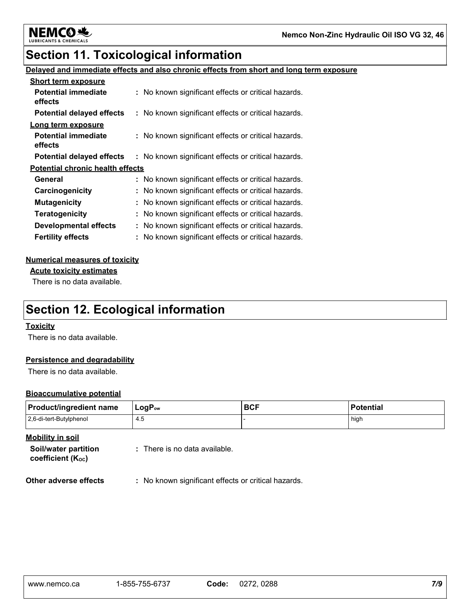

## **Section 11. Toxicological information**

#### **Delayed and immediate effects and also chronic effects from short and long term exposure**

| <b>Short term exposure</b>              |                                                     |
|-----------------------------------------|-----------------------------------------------------|
| <b>Potential immediate</b><br>effects   | : No known significant effects or critical hazards. |
| <b>Potential delayed effects</b>        | : No known significant effects or critical hazards. |
| Long term exposure                      |                                                     |
| <b>Potential immediate</b><br>effects   | : No known significant effects or critical hazards. |
| <b>Potential delayed effects</b>        | : No known significant effects or critical hazards. |
| <b>Potential chronic health effects</b> |                                                     |
| General                                 | : No known significant effects or critical hazards. |
| Carcinogenicity                         | : No known significant effects or critical hazards. |
| <b>Mutagenicity</b>                     | : No known significant effects or critical hazards. |
| <b>Teratogenicity</b>                   | : No known significant effects or critical hazards. |
| <b>Developmental effects</b>            | : No known significant effects or critical hazards. |
| <b>Fertility effects</b>                | : No known significant effects or critical hazards. |

#### **Numerical measures of toxicity**

**Acute toxicity estimates**

There is no data available.

## **Section 12. Ecological information**

#### **Toxicity**

There is no data available.

#### **Persistence and degradability**

There is no data available.

#### **Bioaccumulative potential**

| Product/ingredient name | $\mathsf{LogP}_\mathsf{ow}$ | <b>BCF</b> | Potential |
|-------------------------|-----------------------------|------------|-----------|
| 2,6-di-tert-Butylphenol | 4.5                         |            | high      |

**Mobility in soil**

**Soil/water partition coefficient (KOC)**

**:** There is no data available.

**Other adverse effects** : No known significant effects or critical hazards.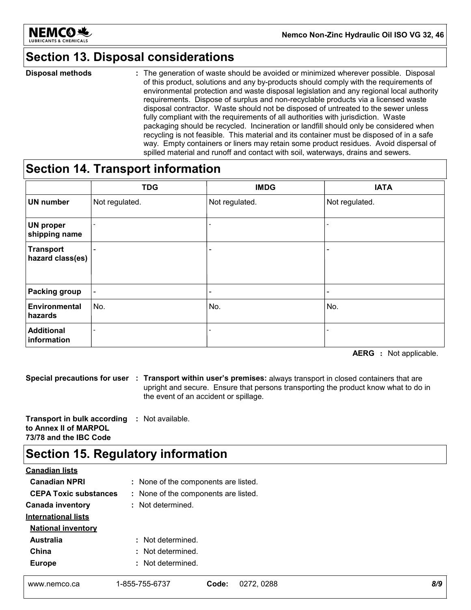

## **Section 13. Disposal considerations**

The generation of waste should be avoided or minimized wherever possible. Disposal of this product, solutions and any by-products should comply with the requirements of environmental protection and waste disposal legislation and any regional local authority requirements. Dispose of surplus and non-recyclable products via a licensed waste disposal contractor. Waste should not be disposed of untreated to the sewer unless fully compliant with the requirements of all authorities with jurisdiction. Waste packaging should be recycled. Incineration or landfill should only be considered when recycling is not feasible. This material and its container must be disposed of in a safe way. Empty containers or liners may retain some product residues. Avoid dispersal of spilled material and runoff and contact with soil, waterways, drains and sewers. **Disposal methods :**

### **Section 14. Transport information**

|                                      | <b>TDG</b>                   | <b>IMDG</b>              | <b>IATA</b>    |
|--------------------------------------|------------------------------|--------------------------|----------------|
| <b>UN number</b>                     | Not regulated.               | Not regulated.           | Not regulated. |
| <b>UN proper</b><br>shipping name    | ۰                            |                          |                |
| <b>Transport</b><br>hazard class(es) | $\overline{\phantom{a}}$     | -                        |                |
| <b>Packing group</b>                 | $\blacksquare$               | $\overline{\phantom{0}}$ |                |
| Environmental<br>hazards             | No.                          | No.                      | No.            |
| <b>Additional</b><br>information     | $\qquad \qquad \blacksquare$ |                          |                |

**AERG :** Not applicable.

**Special precautions for user Transport within user's premises:** always transport in closed containers that are **:** upright and secure. Ensure that persons transporting the product know what to do in the event of an accident or spillage.

**Transport in bulk according :** Not available. **to Annex II of MARPOL 73/78 and the IBC Code**

## **Section 15. Regulatory information**

| <b>Canadian lists</b>        |                   |                                      |     |  |
|------------------------------|-------------------|--------------------------------------|-----|--|
| <b>Canadian NPRI</b>         |                   | : None of the components are listed. |     |  |
| <b>CEPA Toxic substances</b> |                   | : None of the components are listed. |     |  |
| <b>Canada inventory</b>      |                   | : Not determined.                    |     |  |
| <b>International lists</b>   |                   |                                      |     |  |
| <b>National inventory</b>    |                   |                                      |     |  |
| <b>Australia</b>             | : Not determined. |                                      |     |  |
| China                        | : Not determined. |                                      |     |  |
| <b>Europe</b>                | : Not determined. |                                      |     |  |
| www.nemco.ca                 | 1-855-755-6737    | Code:<br>0272, 0288                  | 8/9 |  |